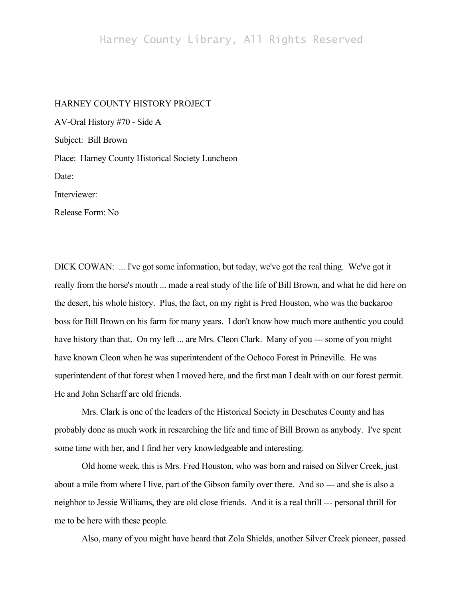## Harney County Library, All Rights Reserved

## HARNEY COUNTY HISTORY PROJECT

AV-Oral History #70 - Side A Subject: Bill Brown Place: Harney County Historical Society Luncheon Date: Interviewer: Release Form: No

DICK COWAN: ... I've got some information, but today, we've got the real thing. We've got it really from the horse's mouth ... made a real study of the life of Bill Brown, and what he did here on the desert, his whole history. Plus, the fact, on my right is Fred Houston, who was the buckaroo boss for Bill Brown on his farm for many years. I don't know how much more authentic you could have history than that. On my left ... are Mrs. Cleon Clark. Many of you --- some of you might have known Cleon when he was superintendent of the Ochoco Forest in Prineville. He was superintendent of that forest when I moved here, and the first man I dealt with on our forest permit. He and John Scharff are old friends.

Mrs. Clark is one of the leaders of the Historical Society in Deschutes County and has probably done as much work in researching the life and time of Bill Brown as anybody. I've spent some time with her, and I find her very knowledgeable and interesting.

Old home week, this is Mrs. Fred Houston, who was born and raised on Silver Creek, just about a mile from where I live, part of the Gibson family over there. And so --- and she is also a neighbor to Jessie Williams, they are old close friends. And it is a real thrill --- personal thrill for me to be here with these people.

Also, many of you might have heard that Zola Shields, another Silver Creek pioneer, passed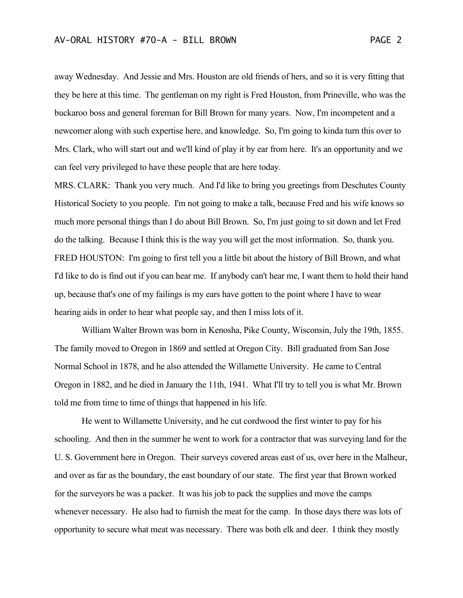away Wednesday. And Jessie and Mrs. Houston are old friends of hers, and so it is very fitting that they be here at this time. The gentleman on my right is Fred Houston, from Prineville, who was the buckaroo boss and general foreman for Bill Brown for many years. Now, I'm incompetent and a newcomer along with such expertise here, and knowledge. So, I'm going to kinda turn this over to Mrs. Clark, who will start out and we'll kind of play it by ear from here. It's an opportunity and we can feel very privileged to have these people that are here today.

MRS. CLARK: Thank you very much. And I'd like to bring you greetings from Deschutes County Historical Society to you people. I'm not going to make a talk, because Fred and his wife knows so much more personal things than I do about Bill Brown. So, I'm just going to sit down and let Fred do the talking. Because I think this is the way you will get the most information. So, thank you. FRED HOUSTON: I'm going to first tell you a little bit about the history of Bill Brown, and what I'd like to do is find out if you can hear me. If anybody can't hear me, I want them to hold their hand up, because that's one of my failings is my ears have gotten to the point where I have to wear hearing aids in order to hear what people say, and then I miss lots of it.

William Walter Brown was born in Kenosha, Pike County, Wisconsin, July the 19th, 1855. The family moved to Oregon in 1869 and settled at Oregon City. Bill graduated from San Jose Normal School in 1878, and he also attended the Willamette University. He came to Central Oregon in 1882, and he died in January the 11th, 1941. What I'll try to tell you is what Mr. Brown told me from time to time of things that happened in his life.

He went to Willamette University, and he cut cordwood the first winter to pay for his schooling. And then in the summer he went to work for a contractor that was surveying land for the U. S. Government here in Oregon. Their surveys covered areas east of us, over here in the Malheur, and over as far as the boundary, the east boundary of our state. The first year that Brown worked for the surveyors he was a packer. It was his job to pack the supplies and move the camps whenever necessary. He also had to furnish the meat for the camp. In those days there was lots of opportunity to secure what meat was necessary. There was both elk and deer. I think they mostly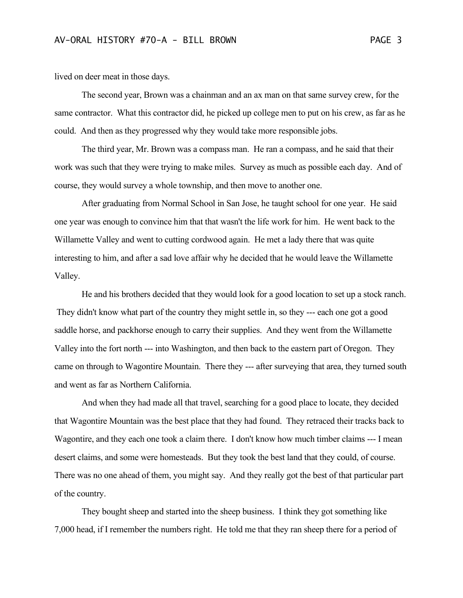lived on deer meat in those days.

The second year, Brown was a chainman and an ax man on that same survey crew, for the same contractor. What this contractor did, he picked up college men to put on his crew, as far as he could. And then as they progressed why they would take more responsible jobs.

The third year, Mr. Brown was a compass man. He ran a compass, and he said that their work was such that they were trying to make miles. Survey as much as possible each day. And of course, they would survey a whole township, and then move to another one.

After graduating from Normal School in San Jose, he taught school for one year. He said one year was enough to convince him that that wasn't the life work for him. He went back to the Willamette Valley and went to cutting cordwood again. He met a lady there that was quite interesting to him, and after a sad love affair why he decided that he would leave the Willamette Valley.

He and his brothers decided that they would look for a good location to set up a stock ranch. They didn't know what part of the country they might settle in, so they --- each one got a good saddle horse, and packhorse enough to carry their supplies. And they went from the Willamette Valley into the fort north --- into Washington, and then back to the eastern part of Oregon. They came on through to Wagontire Mountain. There they --- after surveying that area, they turned south and went as far as Northern California.

And when they had made all that travel, searching for a good place to locate, they decided that Wagontire Mountain was the best place that they had found. They retraced their tracks back to Wagontire, and they each one took a claim there. I don't know how much timber claims --- I mean desert claims, and some were homesteads. But they took the best land that they could, of course. There was no one ahead of them, you might say. And they really got the best of that particular part of the country.

They bought sheep and started into the sheep business. I think they got something like 7,000 head, if I remember the numbers right. He told me that they ran sheep there for a period of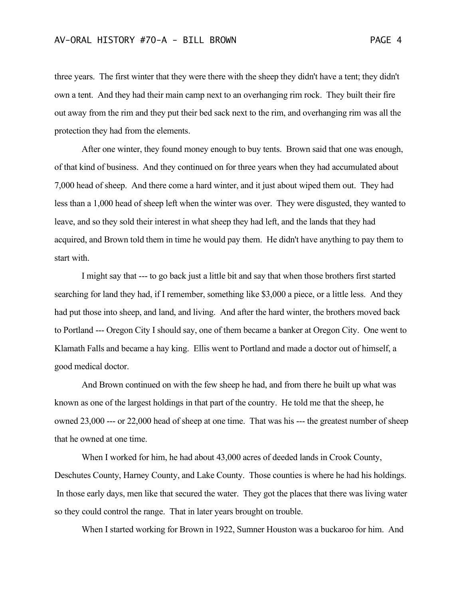three years. The first winter that they were there with the sheep they didn't have a tent; they didn't own a tent. And they had their main camp next to an overhanging rim rock. They built their fire out away from the rim and they put their bed sack next to the rim, and overhanging rim was all the protection they had from the elements.

After one winter, they found money enough to buy tents. Brown said that one was enough, of that kind of business. And they continued on for three years when they had accumulated about 7,000 head of sheep. And there come a hard winter, and it just about wiped them out. They had less than a 1,000 head of sheep left when the winter was over. They were disgusted, they wanted to leave, and so they sold their interest in what sheep they had left, and the lands that they had acquired, and Brown told them in time he would pay them. He didn't have anything to pay them to start with.

I might say that --- to go back just a little bit and say that when those brothers first started searching for land they had, if I remember, something like \$3,000 a piece, or a little less. And they had put those into sheep, and land, and living. And after the hard winter, the brothers moved back to Portland --- Oregon City I should say, one of them became a banker at Oregon City. One went to Klamath Falls and became a hay king. Ellis went to Portland and made a doctor out of himself, a good medical doctor.

And Brown continued on with the few sheep he had, and from there he built up what was known as one of the largest holdings in that part of the country. He told me that the sheep, he owned 23,000 --- or 22,000 head of sheep at one time. That was his --- the greatest number of sheep that he owned at one time.

When I worked for him, he had about 43,000 acres of deeded lands in Crook County, Deschutes County, Harney County, and Lake County. Those counties is where he had his holdings. In those early days, men like that secured the water. They got the places that there was living water so they could control the range. That in later years brought on trouble.

When I started working for Brown in 1922, Sumner Houston was a buckaroo for him. And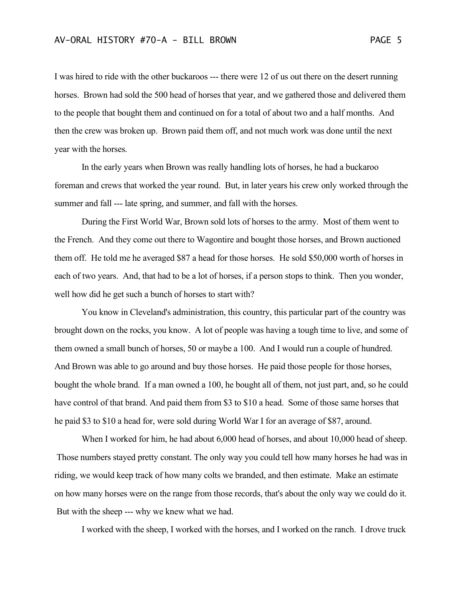I was hired to ride with the other buckaroos --- there were 12 of us out there on the desert running horses. Brown had sold the 500 head of horses that year, and we gathered those and delivered them to the people that bought them and continued on for a total of about two and a half months. And then the crew was broken up. Brown paid them off, and not much work was done until the next year with the horses.

In the early years when Brown was really handling lots of horses, he had a buckaroo foreman and crews that worked the year round. But, in later years his crew only worked through the summer and fall --- late spring, and summer, and fall with the horses.

During the First World War, Brown sold lots of horses to the army. Most of them went to the French. And they come out there to Wagontire and bought those horses, and Brown auctioned them off. He told me he averaged \$87 a head for those horses. He sold \$50,000 worth of horses in each of two years. And, that had to be a lot of horses, if a person stops to think. Then you wonder, well how did he get such a bunch of horses to start with?

You know in Cleveland's administration, this country, this particular part of the country was brought down on the rocks, you know. A lot of people was having a tough time to live, and some of them owned a small bunch of horses, 50 or maybe a 100. And I would run a couple of hundred. And Brown was able to go around and buy those horses. He paid those people for those horses, bought the whole brand. If a man owned a 100, he bought all of them, not just part, and, so he could have control of that brand. And paid them from \$3 to \$10 a head. Some of those same horses that he paid \$3 to \$10 a head for, were sold during World War I for an average of \$87, around.

When I worked for him, he had about 6,000 head of horses, and about 10,000 head of sheep. Those numbers stayed pretty constant. The only way you could tell how many horses he had was in riding, we would keep track of how many colts we branded, and then estimate. Make an estimate on how many horses were on the range from those records, that's about the only way we could do it. But with the sheep --- why we knew what we had.

I worked with the sheep, I worked with the horses, and I worked on the ranch. I drove truck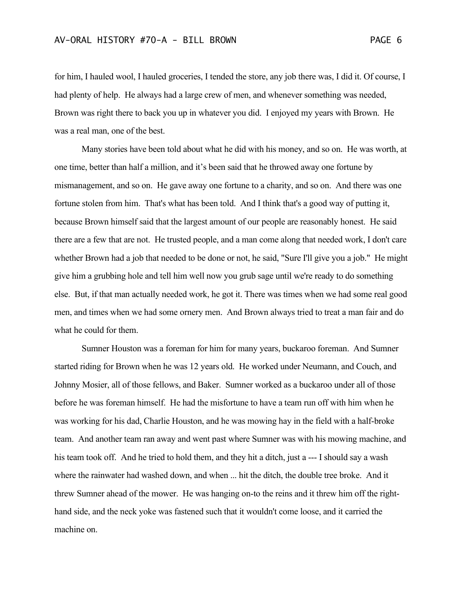for him, I hauled wool, I hauled groceries, I tended the store, any job there was, I did it. Of course, I had plenty of help. He always had a large crew of men, and whenever something was needed, Brown was right there to back you up in whatever you did. I enjoyed my years with Brown. He was a real man, one of the best.

Many stories have been told about what he did with his money, and so on. He was worth, at one time, better than half a million, and it's been said that he throwed away one fortune by mismanagement, and so on. He gave away one fortune to a charity, and so on. And there was one fortune stolen from him. That's what has been told. And I think that's a good way of putting it, because Brown himself said that the largest amount of our people are reasonably honest. He said there are a few that are not. He trusted people, and a man come along that needed work, I don't care whether Brown had a job that needed to be done or not, he said, "Sure I'll give you a job." He might give him a grubbing hole and tell him well now you grub sage until we're ready to do something else. But, if that man actually needed work, he got it. There was times when we had some real good men, and times when we had some ornery men. And Brown always tried to treat a man fair and do what he could for them.

Sumner Houston was a foreman for him for many years, buckaroo foreman. And Sumner started riding for Brown when he was 12 years old. He worked under Neumann, and Couch, and Johnny Mosier, all of those fellows, and Baker. Sumner worked as a buckaroo under all of those before he was foreman himself. He had the misfortune to have a team run off with him when he was working for his dad, Charlie Houston, and he was mowing hay in the field with a half-broke team. And another team ran away and went past where Sumner was with his mowing machine, and his team took off. And he tried to hold them, and they hit a ditch, just a --- I should say a wash where the rainwater had washed down, and when ... hit the ditch, the double tree broke. And it threw Sumner ahead of the mower. He was hanging on-to the reins and it threw him off the righthand side, and the neck yoke was fastened such that it wouldn't come loose, and it carried the machine on.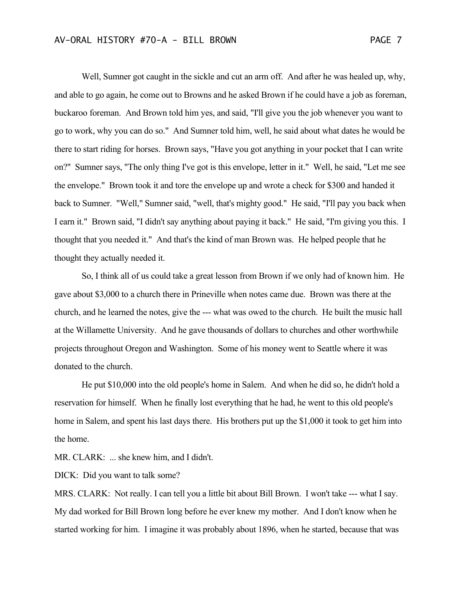Well, Sumner got caught in the sickle and cut an arm off. And after he was healed up, why, and able to go again, he come out to Browns and he asked Brown if he could have a job as foreman, buckaroo foreman. And Brown told him yes, and said, "I'll give you the job whenever you want to go to work, why you can do so." And Sumner told him, well, he said about what dates he would be there to start riding for horses. Brown says, "Have you got anything in your pocket that I can write on?" Sumner says, "The only thing I've got is this envelope, letter in it." Well, he said, "Let me see the envelope." Brown took it and tore the envelope up and wrote a check for \$300 and handed it back to Sumner. "Well," Sumner said, "well, that's mighty good." He said, "I'll pay you back when I earn it." Brown said, "I didn't say anything about paying it back." He said, "I'm giving you this. I thought that you needed it." And that's the kind of man Brown was. He helped people that he thought they actually needed it.

So, I think all of us could take a great lesson from Brown if we only had of known him. He gave about \$3,000 to a church there in Prineville when notes came due. Brown was there at the church, and he learned the notes, give the --- what was owed to the church. He built the music hall at the Willamette University. And he gave thousands of dollars to churches and other worthwhile projects throughout Oregon and Washington. Some of his money went to Seattle where it was donated to the church.

He put \$10,000 into the old people's home in Salem. And when he did so, he didn't hold a reservation for himself. When he finally lost everything that he had, he went to this old people's home in Salem, and spent his last days there. His brothers put up the \$1,000 it took to get him into the home.

MR. CLARK: ... she knew him, and I didn't.

DICK: Did you want to talk some?

MRS. CLARK: Not really. I can tell you a little bit about Bill Brown. I won't take --- what I say. My dad worked for Bill Brown long before he ever knew my mother. And I don't know when he started working for him. I imagine it was probably about 1896, when he started, because that was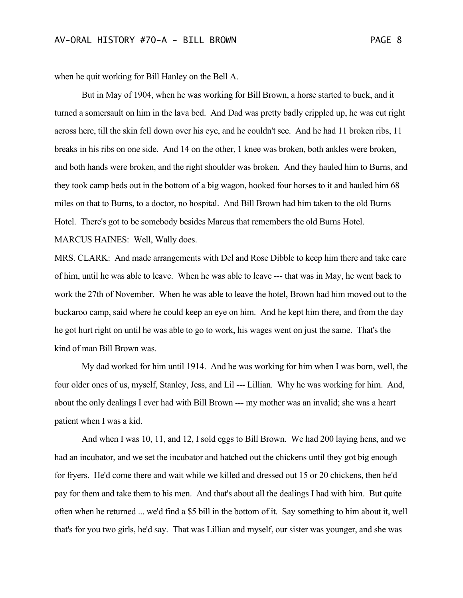when he quit working for Bill Hanley on the Bell A.

But in May of 1904, when he was working for Bill Brown, a horse started to buck, and it turned a somersault on him in the lava bed. And Dad was pretty badly crippled up, he was cut right across here, till the skin fell down over his eye, and he couldn't see. And he had 11 broken ribs, 11 breaks in his ribs on one side. And 14 on the other, 1 knee was broken, both ankles were broken, and both hands were broken, and the right shoulder was broken. And they hauled him to Burns, and they took camp beds out in the bottom of a big wagon, hooked four horses to it and hauled him 68 miles on that to Burns, to a doctor, no hospital. And Bill Brown had him taken to the old Burns Hotel. There's got to be somebody besides Marcus that remembers the old Burns Hotel. MARCUS HAINES: Well, Wally does.

MRS. CLARK: And made arrangements with Del and Rose Dibble to keep him there and take care of him, until he was able to leave. When he was able to leave --- that was in May, he went back to work the 27th of November. When he was able to leave the hotel, Brown had him moved out to the buckaroo camp, said where he could keep an eye on him. And he kept him there, and from the day he got hurt right on until he was able to go to work, his wages went on just the same. That's the kind of man Bill Brown was.

My dad worked for him until 1914. And he was working for him when I was born, well, the four older ones of us, myself, Stanley, Jess, and Lil --- Lillian. Why he was working for him. And, about the only dealings I ever had with Bill Brown --- my mother was an invalid; she was a heart patient when I was a kid.

And when I was 10, 11, and 12, I sold eggs to Bill Brown. We had 200 laying hens, and we had an incubator, and we set the incubator and hatched out the chickens until they got big enough for fryers. He'd come there and wait while we killed and dressed out 15 or 20 chickens, then he'd pay for them and take them to his men. And that's about all the dealings I had with him. But quite often when he returned ... we'd find a \$5 bill in the bottom of it. Say something to him about it, well that's for you two girls, he'd say. That was Lillian and myself, our sister was younger, and she was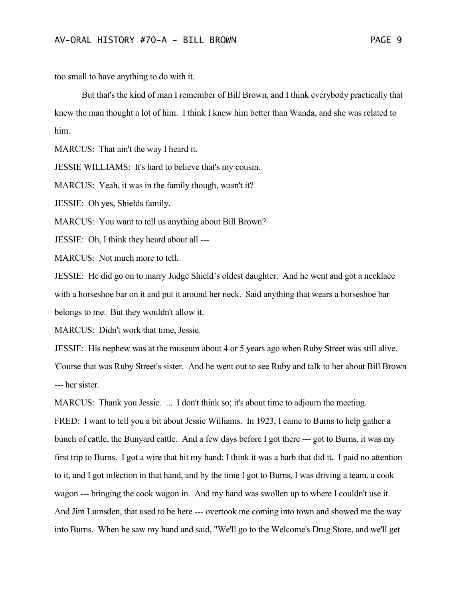too small to have anything to do with it.

But that's the kind of man I remember of Bill Brown, and I think everybody practically that knew the man thought a lot of him. I think I knew him better than Wanda, and she was related to him.

MARCUS: That ain't the way I heard it.

JESSIE WILLIAMS: It's hard to believe that's my cousin.

MARCUS: Yeah, it was in the family though, wasn't it?

JESSIE: Oh yes, Shields family.

MARCUS: You want to tell us anything about Bill Brown?

JESSIE: Oh, I think they heard about all ---

MARCUS: Not much more to tell.

JESSIE: He did go on to marry Judge Shield's oldest daughter. And he went and got a necklace with a horseshoe bar on it and put it around her neck. Said anything that wears a horseshoe bar belongs to me. But they wouldn't allow it.

MARCUS: Didn't work that time, Jessie.

JESSIE: His nephew was at the museum about 4 or 5 years ago when Ruby Street was still alive. 'Course that was Ruby Street's sister. And he went out to see Ruby and talk to her about Bill Brown --- her sister.

MARCUS: Thank you Jessie. ... I don't think so; it's about time to adjourn the meeting. FRED: I want to tell you a bit about Jessie Williams. In 1923, I came to Burns to help gather a bunch of cattle, the Bunyard cattle. And a few days before I got there --- got to Burns, it was my first trip to Burns. I got a wire that hit my hand; I think it was a barb that did it. I paid no attention to it, and I got infection in that hand, and by the time I got to Burns, I was driving a team, a cook wagon --- bringing the cook wagon in. And my hand was swollen up to where I couldn't use it. And Jim Lumsden, that used to be here --- overtook me coming into town and showed me the way into Burns. When he saw my hand and said, "We'll go to the Welcome's Drug Store, and we'll get